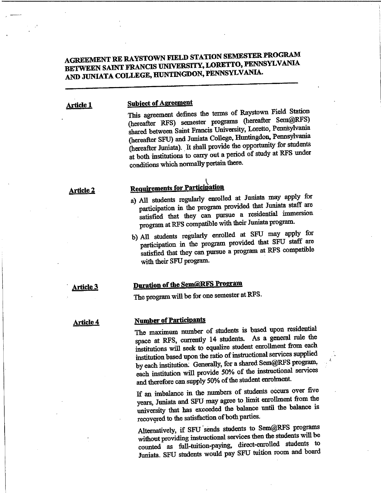# AGREEMENT RE RAYSTOWN FIELD STATION SEMESTER PROGRAM<br>BETWEEN SAINT FRANCIS UNIVERSITY, LORETTO, PENNSYLVANIA AND JUNIATA COLLEGE, HUNTINGDON, PENNSYLVANIA.

#### Subject of Agreement Article 1

This agreement defines the terms of Raystown Field Station (hereafter RFS) semester programs (hereafter Sem@RFS) shared between Saint Francis University, Loretto, Pennsylvania (hereafter SFU) and Juniata College, Huntingdon, Pennsylvania (hereafter Juniata). It shall provide the opportunity for students at both institutions to carry out a period of study at RFS under conditions which normally pertain there.

#### Article 2

## Requirements for Participation

- a) All students regularly enrolled at Juniata may apply for participation in the program provided that Juniata staff are satisfied that they can pursue a residential immersion program at RFS compatible with their Juniata program.
- b)All students regularly enrolled at SFU may apply for participation in the program provided that SFU staff are satisfied that they can pursue a program at RFS compatible with their SFU program.

#### Article 3

## Duration of the Sem@RFS Program

The program will be for one semester at RFS.

Article 4

## Number of Participants

The maximum number of students is based upon residential space at RFS, currently 14 students. As a general rule the institutions will seek to equalize student enrollment from each institution based upon the ratio of instructional services supplied by each institution; Generally, for a shared Sem@RFS program, each institution will provide 50% of the instructional services and therefore can supply 50% of the student enrolment.

If an imbalance in the numbers of students occurs over five years, Juniata and SFU may agree to limit enrollment from the university that has exceeded the balance until the balance is recovered to the satisfaction of both parties.

Alternatively, if SFU sends students to Sem@RFS programs without providing instructional services then the students will be counted as full-tuition-paying, direct-enrolled students to Juniata. SFU students would pay SFU tuition room and board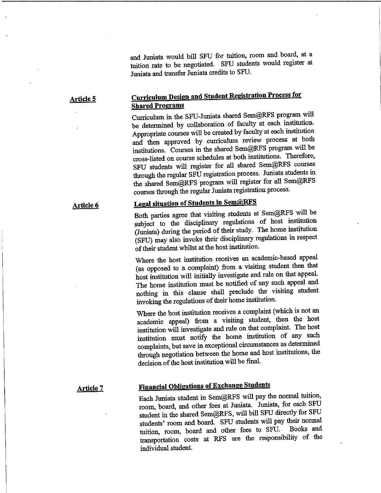and Juniata would bill SFU for tuition, room and board, at a tuition rate to be negotiated. SFU students would register at Juniata and transfer Juniata credits to SFU.

#### **Curriculum Design and Student Registration Process for** Shared Programs Article 5

Curriculum in the SFU-Juniata shared Sem@RFS program will be determined by collaboration of faculty at each institution. Appropriate courses will be created by faculty at each institution and then approved by curriculum review process at both institutions. Courses in the shared Sem@RFS program will be cross-listed on course schedules at both institutions. Therefore, SFU students will register for all shared Sem@KFS courses through the regular SFU registration process. Juniata students in the shared Sem@RFS program will register for all Sem@RFS courses through the regular Juniata registration process.

# Legal situation of Students in Sem@RFS

Both parties agree that visiting students at Sem@RFS will be subject to the disciplinary regulations of host institution (Juniata) during the period of their study. The home institution (SFU) may also invoke their disciplinary regulations in respect of their student whilst at the host institution.

Where the host institution receives an academic-based appeal (as opposed to a complaint) from a visiting student then that host institution will initially investigate and rule on that appeal. The home institution must be notified of any such appeal and nothing in this clause shall preclude the visiting student invoking the regulations of their home institution.

Where the host institution receives a complaint (which is not an academic appeal) from a visiting student, then the host institution will investigate and rule on that complaint. The host institution must notify the home institution of any such complaints, but save in exceptional circumstances as determined through negotiation between the home and host institutions, the decision of the host institution will be final.

### Article 7

Article 6

# Financial Obligations of Exchange Students

Each Juniata student in Sem@RFS will pay the normal tuition, room, board, and other fees at Juniata. Juniata, for each SFU student in the shared Sem@RFS, will bill SFU directly for SFU students' room and board. SFU students will pay their normal tuition, room, board and other fees to SFU. transportation costs at RFS are the responsibility of the individual student.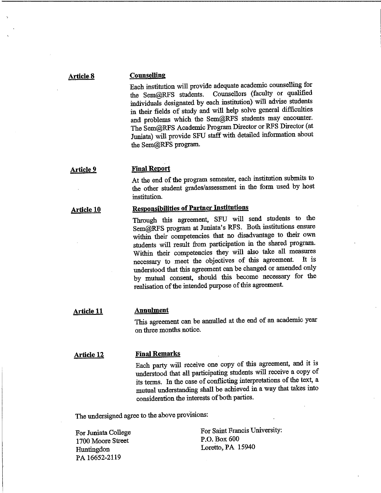### **Article 8**

## **Counselling**

Each institution will provide adequate academic counselling for the Sem@RFS students. Counsellors (faculty or qualified individuals designated by each institution) will advise students in their fields of study and will help solve general difficulties and problems which the Sem@RFS students may encounter. The Sem@RFS Academic Program Director or RFS Director (at Juniata) will provide SFU staff with detailed information about the Sem@RFS program.

#### **Final Report Article 9**

At the end of the program semester, each institution submits to the other student grades/assessment in the form used by host institution.

#### **Responsibilities of Partner Institutions Article 10**

Through this agreement, SFU will send students to the Sem@RFS program at Juniata's RFS. Both institutions ensure within their competencies that no disadvantage to their own students will result from participation in the shared program. Within their competencies they will also take all measures necessary to meet the objectives of this agreement. It is understood that this agreement can be changed or amended only by mutual consent, should this become necessary for the realisation of the intended purpose of this agreement.

#### **Annulment Article 11**

This agreement can be annulled at the end of an academic year on three months notice.

#### **Article 12**

#### **Final Remarks**

Each party will receive one copy of this agreement, and it is understood that all participating students will receive a copy of its terms. In the case of conflicting interpretations of the text, a mutual understanding shall be achieved in a way that takes into consideration the interests of both parties.

The undersigned agree to the above provisions:

For Juniata College 1700 Moore Street Huntingdon PA 16652-2119

For Saint Francis University: P.O. Box 600 Loretto,PA 15940